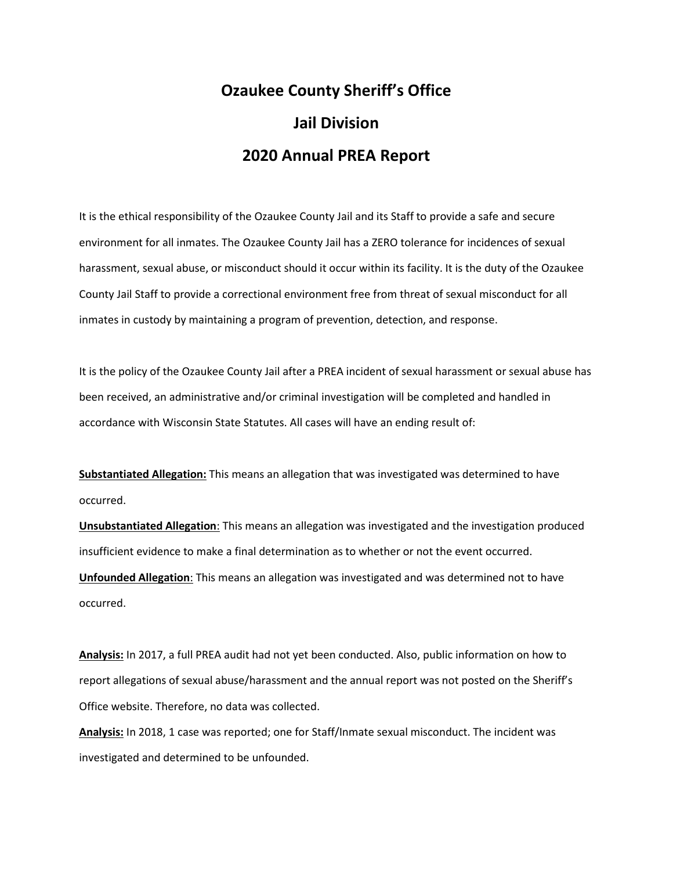## **Ozaukee County Sheriff's Office Jail Division 2020 Annual PREA Report**

It is the ethical responsibility of the Ozaukee County Jail and its Staff to provide a safe and secure environment for all inmates. The Ozaukee County Jail has a ZERO tolerance for incidences of sexual harassment, sexual abuse, or misconduct should it occur within its facility. It is the duty of the Ozaukee County Jail Staff to provide a correctional environment free from threat of sexual misconduct for all inmates in custody by maintaining a program of prevention, detection, and response.

It is the policy of the Ozaukee County Jail after a PREA incident of sexual harassment or sexual abuse has been received, an administrative and/or criminal investigation will be completed and handled in accordance with Wisconsin State Statutes. All cases will have an ending result of:

**Substantiated Allegation:** This means an allegation that was investigated was determined to have occurred.

**Unsubstantiated Allegation**: This means an allegation was investigated and the investigation produced insufficient evidence to make a final determination as to whether or not the event occurred. **Unfounded Allegation**: This means an allegation was investigated and was determined not to have occurred.

**Analysis:** In 2017, a full PREA audit had not yet been conducted. Also, public information on how to report allegations of sexual abuse/harassment and the annual report was not posted on the Sheriff's Office website. Therefore, no data was collected.

**Analysis:** In 2018, 1 case was reported; one for Staff/Inmate sexual misconduct. The incident was investigated and determined to be unfounded.